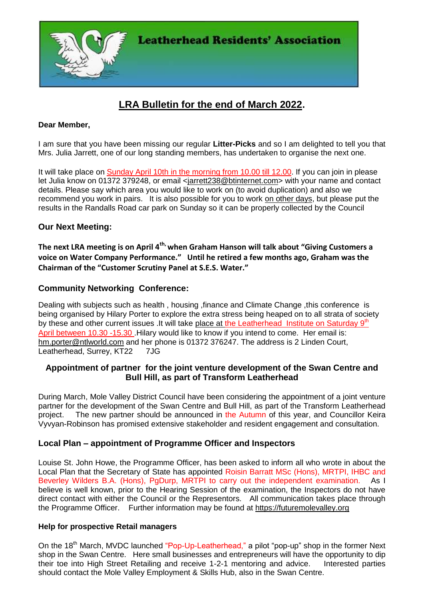

# **LRA Bulletin for the end of March 2022.**

#### **Dear Member,**

I am sure that you have been missing our regular **Litter-Picks** and so I am delighted to tell you that Mrs. Julia Jarrett, one of our long standing members, has undertaken to organise the next one.

It will take place on Sunday April 10th in the morning from 10.00 till 12.00. If you can join in please let Julia know on 01372 379248, or email [<jarrett238@btinternet.com>](mailto:jarrett238@btinternet.com) with your name and contact details. Please say which area you would like to work on (to avoid duplication) and also we recommend you work in pairs. It is also possible for you to work on other days, but please put the results in the Randalls Road car park on Sunday so it can be properly collected by the Council

# **Our Next Meeting:**

**The next LRA meeting is on April 4th, when Graham Hanson will talk about "Giving Customers a voice on Water Company Performance." Until he retired a few months ago, Graham was the Chairman of the "Customer Scrutiny Panel at S.E.S. Water."** 

# **Community Networking Conference:**

Dealing with subjects such as health , housing ,finance and Climate Change ,this conference is being organised by Hilary Porter to explore the extra stress being heaped on to all strata of society by these and other current issues .It will take place at the Leatherhead Institute on Saturday 9<sup>th</sup> April between 10.30 -15.30 . Hilary would like to know if you intend to come. Her email is: [hm.porter@ntlworld.com](mailto:hm.porter@ntlworld.com) and her phone is 01372 376247. The address is 2 Linden Court, Leatherhead, Surrey, KT22 7JG

# **Appointment of partner for the joint venture development of the Swan Centre and Bull Hill, as part of Transform Leatherhead**

During March, Mole Valley District Council have been considering the appointment of a joint venture partner for the development of the Swan Centre and Bull Hill, as part of the Transform Leatherhead project. The new partner should be announced in the Autumn of this year, and Councillor Keira Vyvyan-Robinson has promised extensive stakeholder and resident engagement and consultation.

# **Local Plan – appointment of Programme Officer and Inspectors**

Louise St. John Howe, the Programme Officer, has been asked to inform all who wrote in about the Local Plan that the Secretary of State has appointed Roisin Barratt MSc (Hons), MRTPI, IHBC and Beverley Wilders B.A. (Hons), PgDurp, MRTPI to carry out the independent examination. As I believe is well known, prior to the Hearing Session of the examination, the Inspectors do not have direct contact with either the Council or the Representors. All communication takes place through the Programme Officer. Further information may be found at [https://futuremolevalley.org](https://futuremolevalley.org/)

#### **Help for prospective Retail managers**

On the 18<sup>th</sup> March, MVDC launched "Pop-Up-Leatherhead," a pilot "pop-up" shop in the former Next shop in the Swan Centre. Here small businesses and entrepreneurs will have the opportunity to dip their toe into High Street Retailing and receive 1-2-1 mentoring and advice. Interested parties should contact the Mole Valley Employment & Skills Hub, also in the Swan Centre.